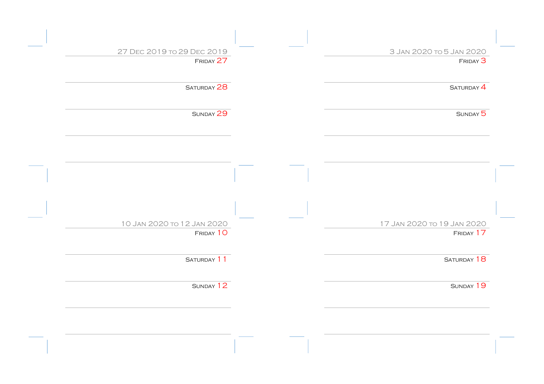| 3 JAN 2020 TO 5 JAN 2020<br>27 DEC 2019 TO 29 DEC 2019<br>FRIDAY 27<br>SATURDAY 28<br>SUNDAY 29 | FRIDAY <sup>3</sup><br>SATURDAY <sup>4</sup> |
|-------------------------------------------------------------------------------------------------|----------------------------------------------|
|                                                                                                 |                                              |
|                                                                                                 |                                              |
|                                                                                                 |                                              |
|                                                                                                 | SUNDAY 5                                     |
|                                                                                                 |                                              |
|                                                                                                 |                                              |
|                                                                                                 |                                              |
|                                                                                                 |                                              |
| 10 Jan 2020 to 12 Jan 2020<br>17 Jan 2020 to 19 Jan 2020                                        |                                              |
| FRIDAY 10                                                                                       |                                              |
| SATURDAY 11<br>SATURDAY 18                                                                      |                                              |
| SUNDAY 12                                                                                       | SUNDAY 19                                    |
|                                                                                                 | FRIDAY 17                                    |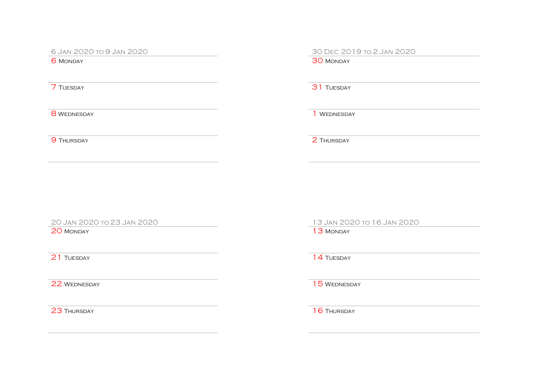6 Jan 2020 to 9 Jan 2020<br>
6 Monday<br>
6 Monday

**30 MONDAY** 

**7** TUESDAY **31 TUESDAY** 

8 WEDNESDAY 1 WEDNESDAY

**9 Thursday** 2 Thursday

20 MONDAY 13 MONDAY

20 Jan 2020 to 23 Jan 2020 13 Jan 2020 to 16 Jan 2020

21 Tuesday 14 Tuesday

22 WEDNESDAY 22 WEDNESDAY

23 THURSDAY 16 THURSDAY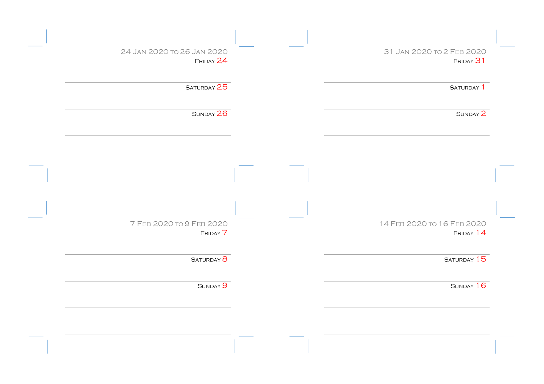| 31 JAN 2020 TO 2 FEB 2020  | 24 JAN 2020 TO 26 JAN 2020 |
|----------------------------|----------------------------|
| FRIDAY 31                  | FRIDAY 24                  |
| SATURDAY <sup>1</sup>      | SATURDAY 25                |
| SUNDAY 2                   | SUNDAY 26                  |
|                            |                            |
|                            |                            |
|                            |                            |
|                            |                            |
| 14 FEB 2020 TO 16 FEB 2020 | 7 FEB 2020 TO 9 FEB 2020   |
| FRIDAY 14                  | FRIDAY 7                   |
| SATURDAY 15                | SATURDAY <sup>8</sup>      |
| SUNDAY 16                  | SUNDAY <sup>9</sup>        |
|                            |                            |
|                            |                            |
|                            |                            |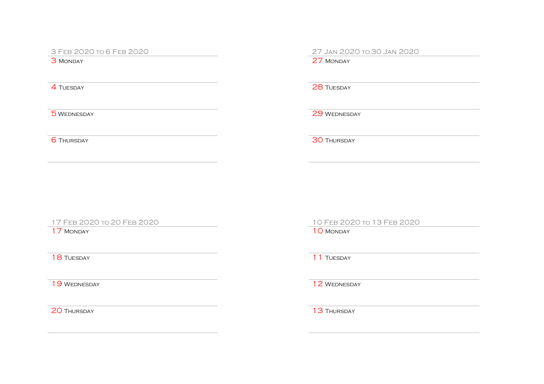3 FEB 2020 to 6 FEB 2020<br>
3 Monday<br>
3 Monday

27 MONDAY

**4 TUESDAY** 28 TUESDAY

5 WEDNESDAY 29 WEDNESDAY

6 Thursday 30 Thursday

20 Thursday 20 Thursday

17 Feb 2020 to 20 Feb 2020 10 Feb 2020 to 13 Feb 2020

17 MONDAY 10 MONDAY

**18 Tuesday 11 Tuesday 11 Tuesday** 

19 WEDNESDAY 2 WEDNESDAY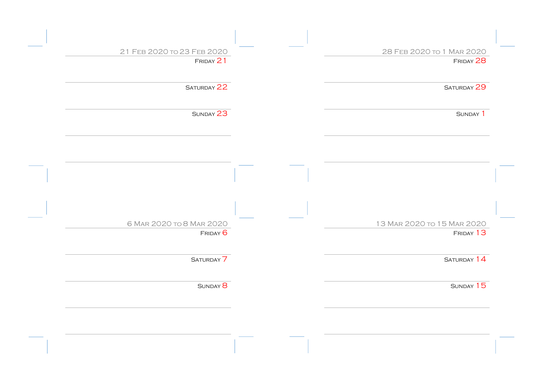| 21 FEB 2020 TO 23 FEB 2020 | 28 FEB 2020 TO 1 MAR 2020  |  |
|----------------------------|----------------------------|--|
| FRIDAY 21                  | FRIDAY 28                  |  |
| SATURDAY 22                | SATURDAY 29                |  |
|                            |                            |  |
| SUNDAY 23                  | SUNDAY <sup>1</sup>        |  |
|                            |                            |  |
|                            |                            |  |
|                            |                            |  |
|                            |                            |  |
|                            |                            |  |
|                            |                            |  |
| 6 MAR 2020 TO 8 MAR 2020   | 13 MAR 2020 TO 15 MAR 2020 |  |
| FRIDAY 6                   | FRIDAY 13                  |  |
| SATURDAY <sup>7</sup>      | SATURDAY 14                |  |
| SUNDAY <sup>8</sup>        | SUNDAY 15                  |  |
|                            |                            |  |
|                            |                            |  |
|                            |                            |  |
|                            |                            |  |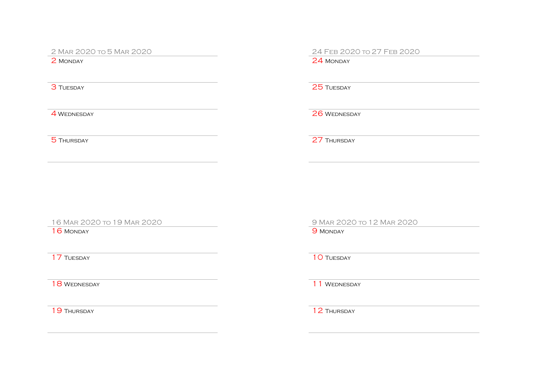2 Mar 2020 to 5 Mar 2020<br>
24 Feb 2020 to 27 Feb 2020<br>
24 Monday

24 MONDAY

**3 TUESDAY** 25 TUESDAY

4 WEDNESDAY 26 WEDNESDAY

5 Thursday 27 Thursday

16 MONDAY 9 MONDAY

16 Mar 2020 to 19 Mar 2020 9 Mar 2020 to 12 Mar 2020

**17 TUESDAY** 10 TUESDAY

18 WEDNESDAY 2012 12 MEDICINE 2014

19 Thursday 12 Thursday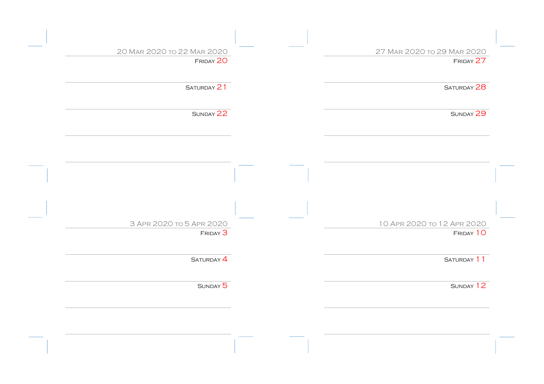| 27 MAR 2020 TO 29 MAR 2020 | 20 MAR 2020 TO 22 MAR 2020 |  |
|----------------------------|----------------------------|--|
| FRIDAY 27                  | FRIDAY 20                  |  |
| SATURDAY 28                | SATURDAY 21                |  |
| SUNDAY 29                  | SUNDAY 22                  |  |
|                            |                            |  |
|                            |                            |  |
|                            |                            |  |
| 10 APR 2020 TO 12 APR 2020 | 3 APR 2020 TO 5 APR 2020   |  |
| FRIDAY 10                  | FRIDAY <sup>3</sup>        |  |
| SATURDAY 11                | SATURDAY <sup>4</sup>      |  |
| SUNDAY 12                  | SUNDAY 5                   |  |
|                            |                            |  |
|                            |                            |  |
|                            |                            |  |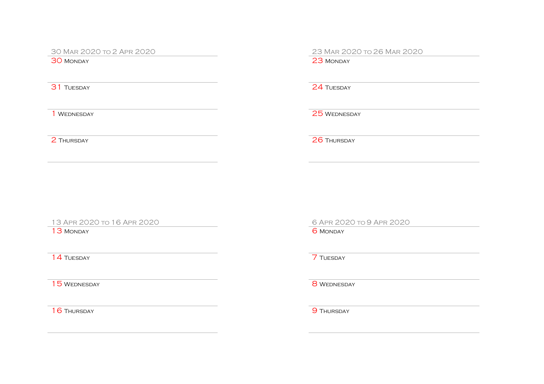30 Mar 2020 to 2 Apr 2020<br>
30 Monday<br>
30 Monday

**31 TUESDAY** 24 TUESDAY

1 WEDNESDAY 25 WEDNESDAY

2 Thursday 26 Thursday

13 Apr 2020 to 16 Apr 2020 6 Apr 2020 to 9 Apr 2020

13 MONDAY 6 MONDAY

**14 TUESDAY** 7 TUESDAY

15 WEDNESDAY 8 WEDNESDAY

16 Thursday 9 Thursday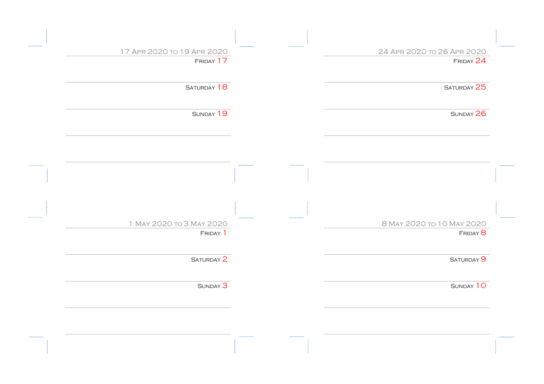| 24 APR 2020 TO 26 APR 2020 | 17 APR 2020 TO 19 APR 2020<br>FRIDAY 17 |  |
|----------------------------|-----------------------------------------|--|
| FRIDAY 24                  |                                         |  |
| SATURDAY 25                | SATURDAY 18                             |  |
| SUNDAY 26                  | SUNDAY 19                               |  |
|                            |                                         |  |
|                            |                                         |  |
|                            |                                         |  |
|                            |                                         |  |
|                            |                                         |  |
| 8 MAY 2020 TO 10 MAY 2020  | 1 MAY 2020 TO 3 MAY 2020                |  |
| $F$ RIDAY $\overline{8}$   | Friday 1                                |  |
|                            | SATURDAY 2                              |  |
| SATURDAY <sup>9</sup>      |                                         |  |
|                            |                                         |  |
| SUNDAY 10                  | SUNDAY <sup>3</sup>                     |  |
|                            |                                         |  |
|                            |                                         |  |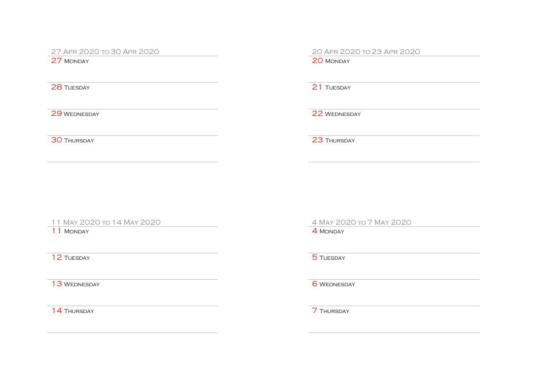27 APR 2020 TO 30 APR 2020<br>
27 MONDAY

**28 TUESDAY** 21 TUESDAY

29 WEDNESDAY 22 WEDNESDAY

30 Thursday 23 Thursday

11 May 2020 to 14 May 2020 4 May 2020 to 7 May 2020

11 MONDAY 4 MONDAY

**12 Tuesday 5 Tuesday 6 Tuesday 6 Tuesday 6 Tuesday 6 Tuesday 6 Tuesday 6 Tuesday 6 Tuesday 6 Tuesday 6 Tuesday** 

13 WEDNESDAY 6 WEDNESDAY

**14 Thursday 7 Thursday**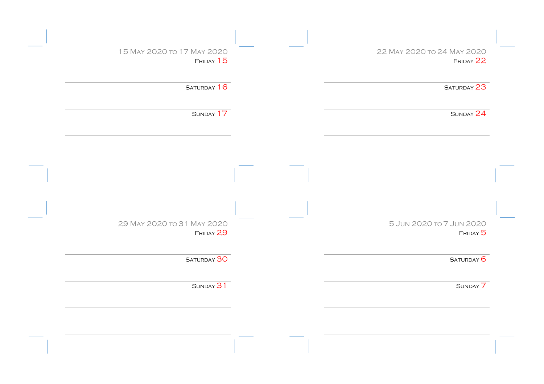| 22 MAY 2020 TO 24 MAY 2020 | 15 MAY 2020 TO 17 MAY 2020 |
|----------------------------|----------------------------|
| FRIDAY 22                  | FRIDAY 15                  |
| SATURDAY 23                | SATURDAY 16                |
| SUNDAY 24                  | SUNDAY 17                  |
|                            |                            |
|                            |                            |
|                            |                            |
|                            |                            |
| 5 JUN 2020 TO 7 JUN 2020   | 29 MAY 2020 TO 31 MAY 2020 |
| FRIDAY 5                   | FRIDAY 29                  |
| SATURDAY <sup>6</sup>      | SATURDAY 30                |
|                            | SUNDAY 31                  |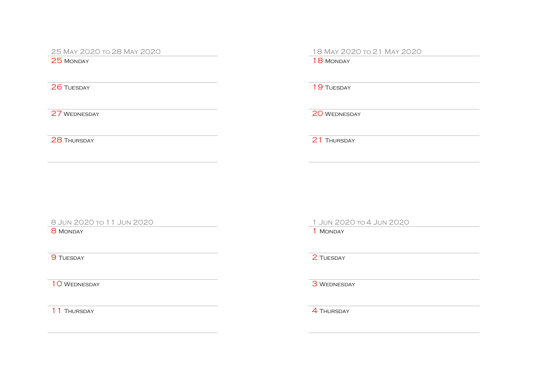25 May 2020 to 28 May 2020 18 May 2020 to 21 May 2020

25 MONDAY 18 MONDAY

**26 TUESDAY** 19 TUESDAY

27 WEDNESDAY 20 WEDNESDAY

**28 Thursday 21 Thursday** 

8 Jun 2020 to 11 Jun 2020 1 Jun 2020 to 4 Jun 2020

 $8$  Monday 1 Monday 1 Monday 1 Monday 1 Monday 1 Monday 1 Monday 1 Monday 1 Monday 1 Monday 1 Monday 1 Monday 1 Monday 1 Monday 1 Monday 1  $\pm 1$  Monday 1 Monday 1 Monday 1 Monday 1 Monday 1 Monday 1 Monday 1 Monday 1 Mon

10 WEDNESDAY 3 WEDNESDAY

11 THURSDAY **4 THURSDAY** 

**9 TUESDAY** 2 TUESDAY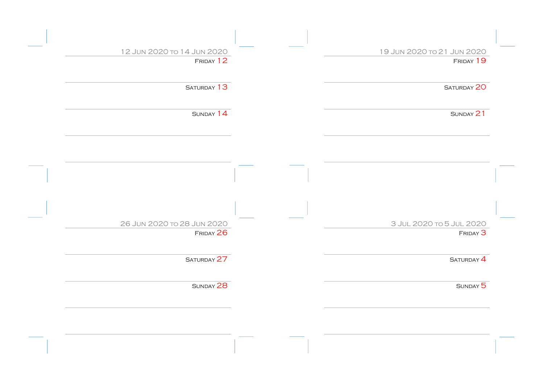| 19 JUN 2020 TO 21 JUN 2020 | 12 JUN 2020 TO 14 JUN 2020 |
|----------------------------|----------------------------|
| FRIDAY 19                  | FRIDAY 12                  |
| SATURDAY 20                | SATURDAY 13                |
| SUNDAY 21                  | SUNDAY 14                  |
|                            |                            |
|                            |                            |
|                            |                            |
| 3 JUL 2020 TO 5 JUL 2020   | 26 JUN 2020 TO 28 JUN 2020 |
| FRIDAY <sup>3</sup>        | FRIDAY 26                  |
| SATURDAY <sup>4</sup>      | SATURDAY 27                |
| SUNDAY 5                   | SUNDAY 28                  |
|                            |                            |
|                            |                            |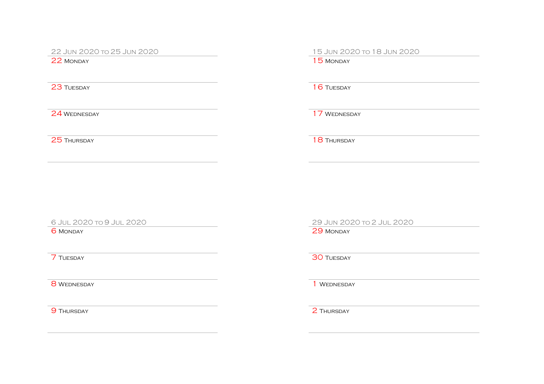22 Jun 2020 to 25 Jun 2020 15 Jun 2020 to 18 Jun 2020

**23 TUESDAY** 16 TUESDAY

24 WEDNESDAY 24 WEDNESDAY

25 Thursday 25 Thursday

8 WEDNESDAY 1 WEDNESDAY

**9 THURSDAY** 2 THURSDAY

6 Jul 2020 to 9 Jul 2020 29 Jun 2020 to 2 Jul 2020

6 Monday 29 Monday

**7 TUESDAY 30 TUESDAY**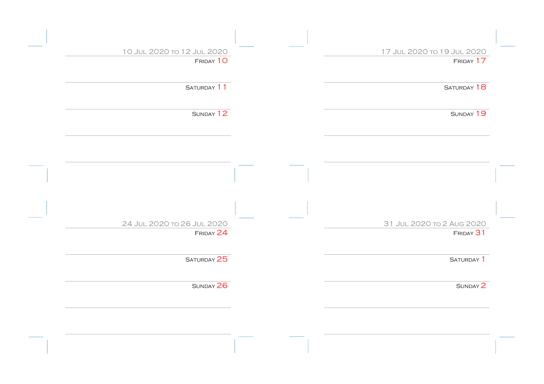| 17 JUL 2020 TO 19 JUL 2020<br>FRIDAY 17 | 10 JUL 2020 TO 12 JUL 2020<br>FRIDAY 10 |
|-----------------------------------------|-----------------------------------------|
|                                         |                                         |
| SATURDAY 18                             | SATURDAY 11                             |
|                                         |                                         |
| SUNDAY 19                               | SUNDAY 12                               |
|                                         |                                         |
|                                         |                                         |
|                                         |                                         |
|                                         |                                         |
|                                         |                                         |
| 31 JUL 2020 TO 2 AUG 2020               | 24 JUL 2020 TO 26 JUL 2020              |
| FRIDAY 31                               | FRIDAY 24                               |
| SATURDAY <sup>1</sup>                   | SATURDAY 25                             |
| SUNDAY 2                                | SUNDAY 26                               |
|                                         |                                         |
|                                         |                                         |
|                                         |                                         |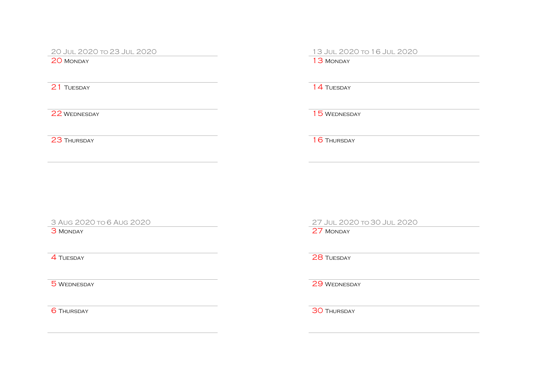20 Jul 2020 to 23 Jul 2020 13 Jul 2020 to 16 Jul 2020

**21 TUESDAY** 14 TUESDAY

22 WEDNESDAY 15 WEDNESDAY

23 Thursday 16 Thursday

3 Aug 2020 to 6 Aug 2020 27 Jul 2020 to 30 Jul 2020

3 MONDAY 27 MONDAY

**4 TUESDAY** 28 TUESDAY

5 WEDNESDAY 29 WEDNESDAY

**6 Thursday 30 Thursday**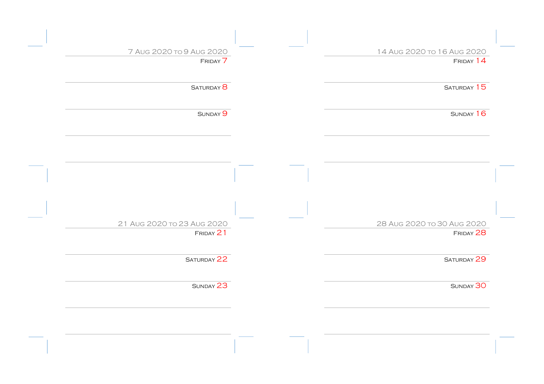| 14 AUG 2020 TO 16 AUG 2020 | 7 AUG 2020 TO 9 AUG 2020   |
|----------------------------|----------------------------|
| FRIDAY 14                  | FRIDAY 7                   |
| SATURDAY 15                | SATURDAY <sup>8</sup>      |
| SUNDAY 16                  | SUNDAY 9                   |
|                            |                            |
|                            |                            |
|                            |                            |
|                            |                            |
| 28 AUG 2020 TO 30 AUG 2020 | 21 AUG 2020 TO 23 AUG 2020 |
| FRIDAY 28                  | FRIDAY 21                  |
| SATURDAY 29                | SATURDAY 22                |
|                            | SUNDAY 23                  |
| SUNDAY 30                  |                            |
|                            |                            |
|                            |                            |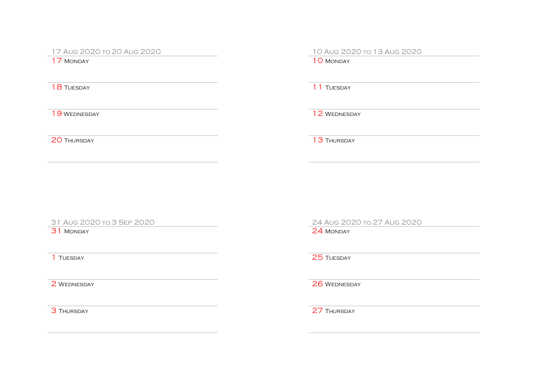17 Aug 2020 to 20 Aug 2020 10 Aug 2020 to 13 Aug 2020

17 MONDAY 10 MONDAY

18 TUESDAY 11 TUESDAY

19 WEDNESDAY 2 WEDNESDAY

20 Thursday 13 Thursday

31 MONDAY 24 MONDAY

31 Aug 2020 to 3 Sep 2020 24 Aug 2020 to 27 Aug 2020

**1** TUESDAY **25** TUESDAY

2 WEDNESDAY 26 WEDNESDAY

3 THURSDAY 27 THURSDAY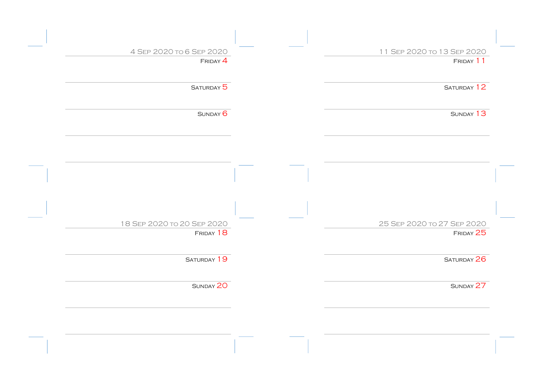| 11 SEP 2020 TO 13 SEP 2020 | 4 SEP 2020 TO 6 SEP 2020   |
|----------------------------|----------------------------|
| FRIDAY 11                  | $F$ RIDAY $4$              |
| SATURDAY 12                | SATURDAY 5                 |
| SUNDAY 13                  | SUNDAY <sup>6</sup>        |
|                            |                            |
|                            |                            |
|                            |                            |
|                            |                            |
| 25 SEP 2020 To 27 SEP 2020 | 18 SEP 2020 To 20 SEP 2020 |
| FRIDAY 25                  | FRIDAY 18                  |
| SATURDAY 26                | SATURDAY 19                |
| SUNDAY 27                  | SUNDAY 20                  |
|                            |                            |
|                            |                            |
|                            |                            |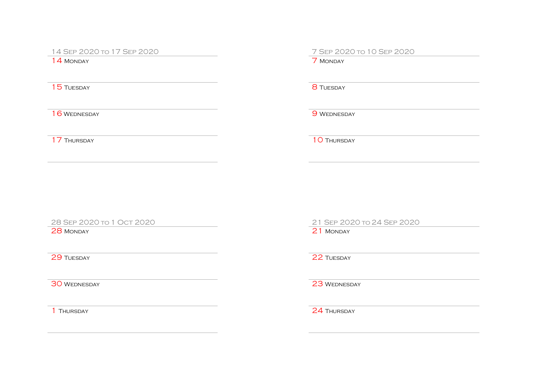14 SEP 2020 to 17 SEP 2020<br>
14 Monday

 $14$  MONDAY

15 TUESDAY 8 TUESDAY

16 WEDNESDAY 9 WEDNESDAY

17 Thursday 10 Thursday

28 MONDAY 21 MONDAY

28 Sep 2020 to 1 Oct 2020 21 Sep 2020 to 24 Sep 2020

29 Tuesday 22 Tuesday

30 WEDNESDAY 23 WEDNESDAY

1 THURSDAY 24 THURSDAY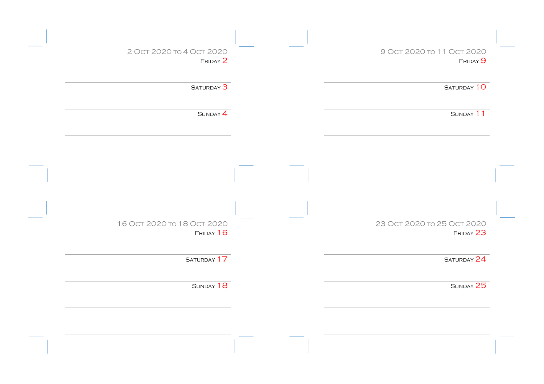| 9 Ост 2020 то 11 Ост 2020  | 2 Ост 2020 то 4 Ост 2020   |
|----------------------------|----------------------------|
| FRIDAY <sup>9</sup>        | FRIDAY 2                   |
| SATURDAY 10                | SATURDAY <sup>3</sup>      |
| SUNDAY 11                  | SUNDAY 4                   |
|                            |                            |
|                            |                            |
|                            |                            |
|                            |                            |
| 23 Ост 2020 то 25 Ост 2020 | 16 OCT 2020 TO 18 OCT 2020 |
| FRIDAY 23                  | FRIDAY 16                  |
| SATURDAY 24                | SATURDAY 17                |
| SUNDAY 25                  | SUNDAY 18                  |
|                            |                            |
|                            |                            |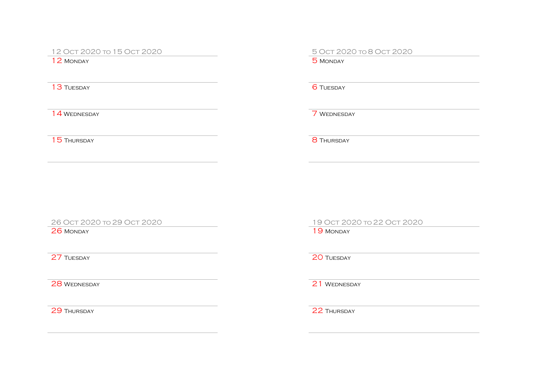12 Oct 2020 to 15 Oct 2020 5 Oct 2020 to 8 Oct 2020

 $12$  Monday

13 TUESDAY 6 TUESDAY

14 WEDNESDAY 7 WEDNESDAY

15 Thursday 8 Thursday

26 MONDAY 19 MONDAY

26 Oct 2020 to 29 Oct 2020 19 Oct 2020 to 22 Oct 2020

and 27 Tuesday 20 Tuesday 20 Tuesday 20 Tuesday

28 WEDNESDAY 21 WEDNESDAY

29 THURSDAY 22 THURSDAY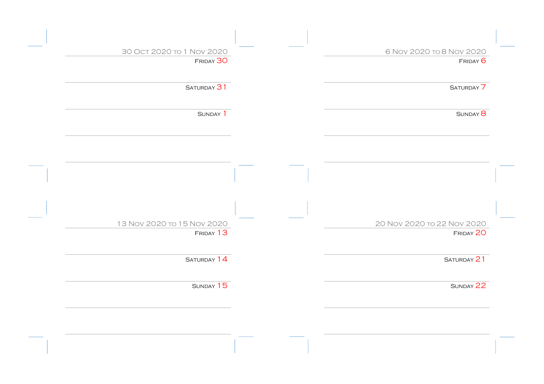| 6 Nov 2020 то 8 Nov 2020   | 30 OCT 2020 TO 1 NOV 2020  |
|----------------------------|----------------------------|
| FRIDAY 6                   | FRIDAY 30                  |
| SATURDAY <sup>7</sup>      | SATURDAY 31                |
| SUNDAY <sup>8</sup>        | SUNDAY 1                   |
|                            |                            |
|                            |                            |
|                            |                            |
| 20 Nov 2020 to 22 Nov 2020 | 13 Nov 2020 to 15 Nov 2020 |
| FRIDAY 20                  | FRIDAY 13                  |
| SATURDAY 21                | SATURDAY 14                |
| SUNDAY 22                  | SUNDAY 15                  |
|                            |                            |
|                            |                            |
|                            |                            |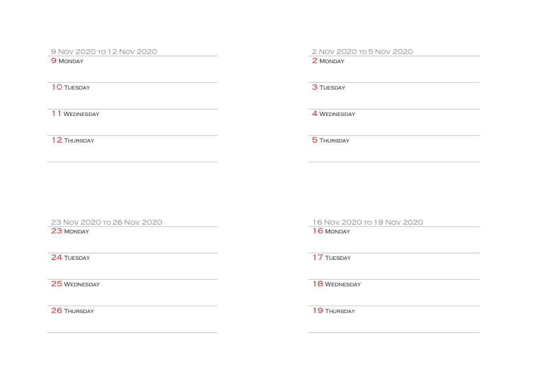9 Nov 2020 to 12 Nov 2020<br>
9 Monday<br>
9 Monday

9 MONDAY

10 TUESDAY 3 TUESDAY

11 WEDNESDAY **4 WEDNESDAY** 

12 Thursday 5 Thursday

23 MONDAY 16 MONDAY

24 Tuesday 17 Tuesday

23 Nov 2020 to 26 Nov 2020 16 Nov 2020 to 19 Nov 2020

25 WEDNESDAY 25 WEDNESDAY

26 Thursday 19 Thursday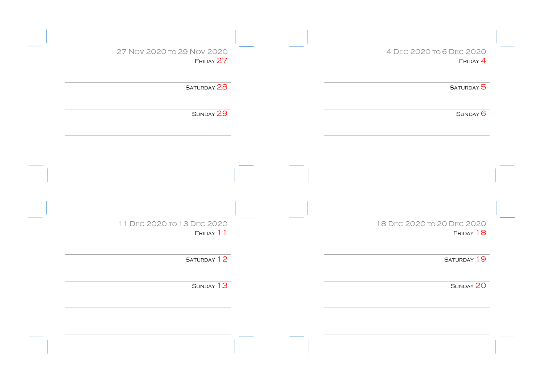| 4 DEC 2020 TO 6 DEC 2020                | 27 Nov 2020 to 29 Nov 2020              |
|-----------------------------------------|-----------------------------------------|
| $F$ RIDAY $4$                           | FRIDAY 27                               |
| SATURDAY <sup>5</sup>                   | SATURDAY 28                             |
| SUNDAY <sup>6</sup>                     | SUNDAY 29                               |
|                                         |                                         |
|                                         |                                         |
|                                         |                                         |
|                                         |                                         |
| 18 DEC 2020 TO 20 DEC 2020<br>FRIDAY 18 | 11 DEC 2020 TO 13 DEC 2020<br>FRIDAY 11 |
| SATURDAY 19                             | SATURDAY 12                             |
| SUNDAY 20                               | SUNDAY 13                               |
|                                         |                                         |
|                                         |                                         |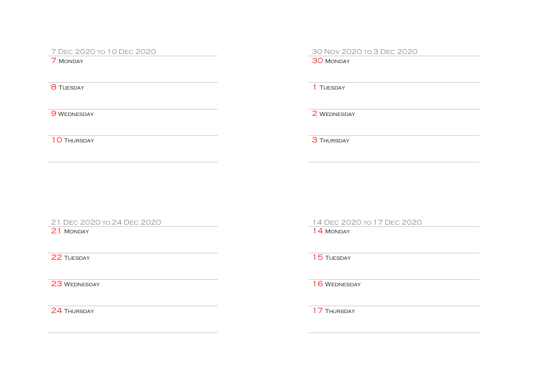7 Dec 2020 to 10 Dec 2020 30 Nov 2020 to 3 Dec 2020

 $8$  Tuesday  $1$  Tuesday  $1$ 

30 MONDAY

9 WEDNESDAY 2 WEDNESDAY

10 Thursday 3 Thursday

21 MONDAY 14 MONDAY

24 THURSDAY 24 THURSDAY

21 Dec 2020 to 24 Dec 2020 14 Dec 2020 to 17 Dec 2020

and 22 Tuesday 15 Tuesday 15 Tuesday

23 WEDNESDAY 23 WEDNESDAY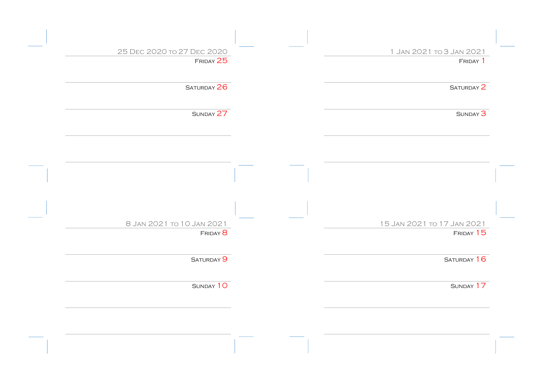| 1 JAN 2021 TO 3 JAN 2021   | 25 DEC 2020 TO 27 DEC 2020 |  |
|----------------------------|----------------------------|--|
| FRIDAY <sup>1</sup>        | FRIDAY 25                  |  |
| SATURDAY <sup>2</sup>      | SATURDAY 26                |  |
| SUNDAY <sup>3</sup>        | SUNDAY 27                  |  |
|                            |                            |  |
|                            |                            |  |
|                            |                            |  |
|                            |                            |  |
| 15 Jan 2021 to 17 Jan 2021 | 8 JAN 2021 TO 10 JAN 2021  |  |
| FRIDAY 15                  | FRIDAY <sup>8</sup>        |  |
| SATURDAY 16                | SATURDAY <sup>9</sup>      |  |
| SUNDAY 17                  | SUNDAY 10                  |  |
|                            |                            |  |
|                            |                            |  |
|                            |                            |  |